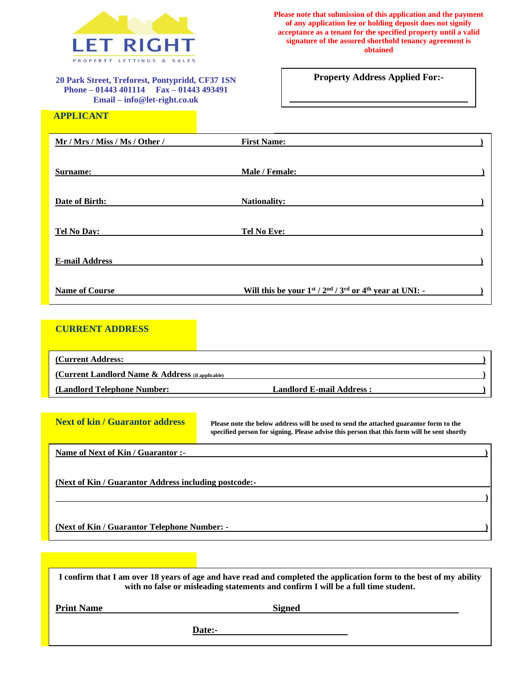

**20 Park Street, Treforest, Pontypridd, CF37 1SN Phone – 01443 401114 Fax – 01443 493491 Email – info@let-right.co.uk**

**Please note that submission of this application and the payment of any application fee or holding deposit does not signify acceptance as a tenant for the specified property until a valid signature of the assured shorthold tenancy agreement is obtained**

**Property Address Applied For:-**

| Mr / Mrs / Miss / Ms / Other / | <b>First Name:</b>                                                          |  |
|--------------------------------|-----------------------------------------------------------------------------|--|
| Surname:                       | Male / Female:                                                              |  |
| Date of Birth:                 | <b>Nationality:</b>                                                         |  |
| <b>Tel No Day:</b>             | <b>Tel No Eve:</b>                                                          |  |
| <b>E-mail Address</b>          |                                                                             |  |
| <b>Name of Course</b>          | Will this be your $1^{st}$ / $2^{nd}$ / $3^{rd}$ or $4^{th}$ year at UNI: - |  |

# **CURRENT ADDRESS**

 **APPLICANT**

| (Current Address:                                   |                                 |  |
|-----------------------------------------------------|---------------------------------|--|
| (Current Landlord Name $\&$ Address (if applicable) |                                 |  |
| (Landlord Telephone Number:                         | <b>Landlord E-mail Address:</b> |  |

| <b>Next of kin / Guarantor address</b>                | Please note the below address will be used to send the attached guarantor form to the<br>specified person for signing. Please advise this person that this form will be sent shortly                     |  |
|-------------------------------------------------------|----------------------------------------------------------------------------------------------------------------------------------------------------------------------------------------------------------|--|
| Name of Next of Kin / Guarantor :-                    |                                                                                                                                                                                                          |  |
| (Next of Kin / Guarantor Address including postcode:- |                                                                                                                                                                                                          |  |
|                                                       |                                                                                                                                                                                                          |  |
| <u>(Next of Kin / Guarantor Telephone Number: -</u>   |                                                                                                                                                                                                          |  |
|                                                       |                                                                                                                                                                                                          |  |
|                                                       |                                                                                                                                                                                                          |  |
|                                                       | I confirm that I am over 18 years of age and have read and completed the application form to the best of my ability<br>with no false or misleading statements and confirm I will be a full time student. |  |

| <b>Print Name</b> | <b>Signed</b> |  |
|-------------------|---------------|--|
|                   | Date:-        |  |